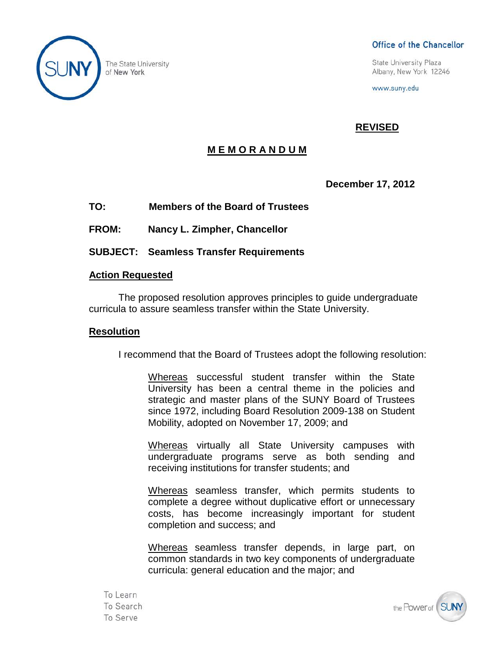

## Office of the Chancellor

**State University Plaza** Albany, New York 12246

www.suny.edu

# **REVISED**

# **M E M O R A N D U M**

## **December 17, 2012**

**TO: Members of the Board of Trustees**

**FROM: Nancy L. Zimpher, Chancellor**

**SUBJECT: Seamless Transfer Requirements**

## **Action Requested**

The proposed resolution approves principles to guide undergraduate curricula to assure seamless transfer within the State University.

#### **Resolution**

I recommend that the Board of Trustees adopt the following resolution:

Whereas successful student transfer within the State University has been a central theme in the policies and strategic and master plans of the SUNY Board of Trustees since 1972, including Board Resolution 2009-138 on Student Mobility, adopted on November 17, 2009; and

Whereas virtually all State University campuses with undergraduate programs serve as both sending and receiving institutions for transfer students; and

Whereas seamless transfer, which permits students to complete a degree without duplicative effort or unnecessary costs, has become increasingly important for student completion and success; and

Whereas seamless transfer depends, in large part, on common standards in two key components of undergraduate curricula: general education and the major; and

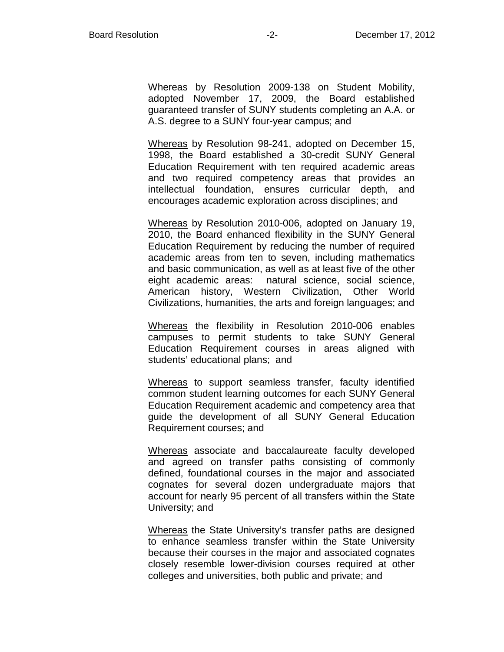Whereas by Resolution 2009-138 on Student Mobility, adopted November 17, 2009, the Board established guaranteed transfer of SUNY students completing an A.A. or A.S. degree to a SUNY four-year campus; and

Whereas by Resolution 98-241, adopted on December 15, 1998, the Board established a 30-credit SUNY General Education Requirement with ten required academic areas and two required competency areas that provides an intellectual foundation, ensures curricular depth, and encourages academic exploration across disciplines; and

Whereas by Resolution 2010-006, adopted on January 19, 2010, the Board enhanced flexibility in the SUNY General Education Requirement by reducing the number of required academic areas from ten to seven, including mathematics and basic communication, as well as at least five of the other eight academic areas: natural science, social science, American history, Western Civilization, Other World Civilizations, humanities, the arts and foreign languages; and

Whereas the flexibility in Resolution 2010-006 enables campuses to permit students to take SUNY General Education Requirement courses in areas aligned with students' educational plans; and

Whereas to support seamless transfer, faculty identified common student learning outcomes for each SUNY General Education Requirement academic and competency area that guide the development of all SUNY General Education Requirement courses; and

Whereas associate and baccalaureate faculty developed and agreed on transfer paths consisting of commonly defined, foundational courses in the major and associated cognates for several dozen undergraduate majors that account for nearly 95 percent of all transfers within the State University; and

Whereas the State University's transfer paths are designed to enhance seamless transfer within the State University because their courses in the major and associated cognates closely resemble lower-division courses required at other colleges and universities, both public and private; and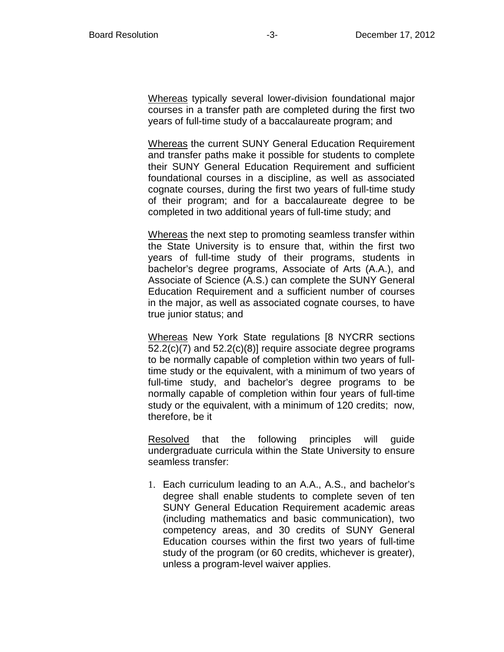Whereas typically several lower-division foundational major courses in a transfer path are completed during the first two years of full-time study of a baccalaureate program; and

Whereas the current SUNY General Education Requirement and transfer paths make it possible for students to complete their SUNY General Education Requirement and sufficient foundational courses in a discipline, as well as associated cognate courses, during the first two years of full-time study of their program; and for a baccalaureate degree to be completed in two additional years of full-time study; and

Whereas the next step to promoting seamless transfer within the State University is to ensure that, within the first two years of full-time study of their programs, students in bachelor's degree programs, Associate of Arts (A.A.), and Associate of Science (A.S.) can complete the SUNY General Education Requirement and a sufficient number of courses in the major, as well as associated cognate courses, to have true junior status; and

Whereas New York State regulations [8 NYCRR sections 52.2(c)(7) and 52.2(c)(8)] require associate degree programs to be normally capable of completion within two years of fulltime study or the equivalent, with a minimum of two years of full-time study, and bachelor's degree programs to be normally capable of completion within four years of full-time study or the equivalent, with a minimum of 120 credits; now, therefore, be it

Resolved that the following principles will guide undergraduate curricula within the State University to ensure seamless transfer:

1. Each curriculum leading to an A.A., A.S., and bachelor's degree shall enable students to complete seven of ten SUNY General Education Requirement academic areas (including mathematics and basic communication), two competency areas, and 30 credits of SUNY General Education courses within the first two years of full-time study of the program (or 60 credits, whichever is greater), unless a program-level waiver applies.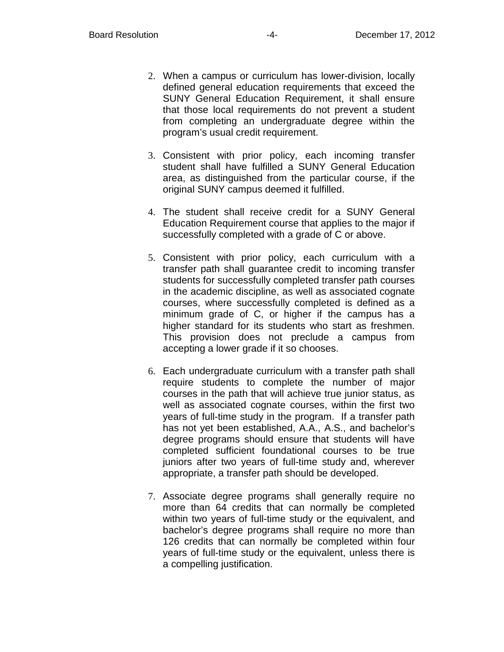- 2. When a campus or curriculum has lower-division, locally defined general education requirements that exceed the SUNY General Education Requirement, it shall ensure that those local requirements do not prevent a student from completing an undergraduate degree within the program's usual credit requirement.
- 3. Consistent with prior policy, each incoming transfer student shall have fulfilled a SUNY General Education area, as distinguished from the particular course, if the original SUNY campus deemed it fulfilled.
- 4. The student shall receive credit for a SUNY General Education Requirement course that applies to the major if successfully completed with a grade of C or above.
- 5. Consistent with prior policy, each curriculum with a transfer path shall guarantee credit to incoming transfer students for successfully completed transfer path courses in the academic discipline, as well as associated cognate courses, where successfully completed is defined as a minimum grade of C, or higher if the campus has a higher standard for its students who start as freshmen. This provision does not preclude a campus from accepting a lower grade if it so chooses.
- 6. Each undergraduate curriculum with a transfer path shall require students to complete the number of major courses in the path that will achieve true junior status, as well as associated cognate courses, within the first two years of full-time study in the program. If a transfer path has not yet been established, A.A., A.S., and bachelor's degree programs should ensure that students will have completed sufficient foundational courses to be true juniors after two years of full-time study and, wherever appropriate, a transfer path should be developed.
- 7. Associate degree programs shall generally require no more than 64 credits that can normally be completed within two years of full-time study or the equivalent, and bachelor's degree programs shall require no more than 126 credits that can normally be completed within four years of full-time study or the equivalent, unless there is a compelling justification.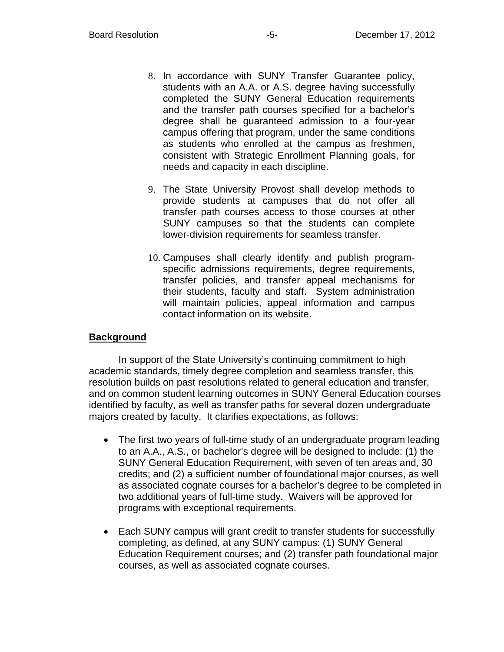- 8. In accordance with SUNY Transfer Guarantee policy, students with an A.A. or A.S. degree having successfully completed the SUNY General Education requirements and the transfer path courses specified for a bachelor's degree shall be guaranteed admission to a four-year campus offering that program, under the same conditions as students who enrolled at the campus as freshmen, consistent with Strategic Enrollment Planning goals, for needs and capacity in each discipline.
- 9. The State University Provost shall develop methods to provide students at campuses that do not offer all transfer path courses access to those courses at other SUNY campuses so that the students can complete lower-division requirements for seamless transfer.
- 10. Campuses shall clearly identify and publish programspecific admissions requirements, degree requirements, transfer policies, and transfer appeal mechanisms for their students, faculty and staff. System administration will maintain policies, appeal information and campus contact information on its website.

# **Background**

In support of the State University's continuing commitment to high academic standards, timely degree completion and seamless transfer, this resolution builds on past resolutions related to general education and transfer, and on common student learning outcomes in SUNY General Education courses identified by faculty, as well as transfer paths for several dozen undergraduate majors created by faculty. It clarifies expectations, as follows:

- The first two years of full-time study of an undergraduate program leading to an A.A., A.S., or bachelor's degree will be designed to include: (1) the SUNY General Education Requirement, with seven of ten areas and, 30 credits; and (2) a sufficient number of foundational major courses, as well as associated cognate courses for a bachelor's degree to be completed in two additional years of full-time study. Waivers will be approved for programs with exceptional requirements.
- Each SUNY campus will grant credit to transfer students for successfully completing, as defined, at any SUNY campus: (1) SUNY General Education Requirement courses; and (2) transfer path foundational major courses, as well as associated cognate courses.